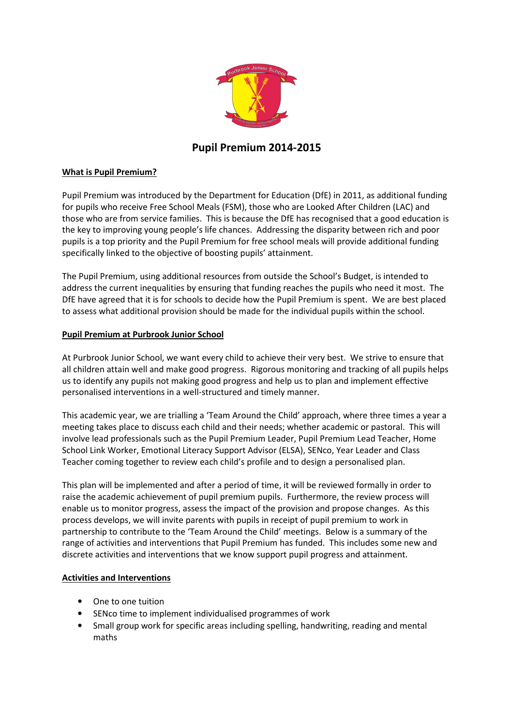

# Pupil Premium 2014-2015

# What is Pupil Premium?

Pupil Premium was introduced by the Department for Education (DfE) in 2011, as additional funding for pupils who receive Free School Meals (FSM), those who are Looked After Children (LAC) and those who are from service families. This is because the DfE has recognised that a good education is the key to improving young people's life chances. Addressing the disparity between rich and poor pupils is a top priority and the Pupil Premium for free school meals will provide additional funding specifically linked to the objective of boosting pupils' attainment.

The Pupil Premium, using additional resources from outside the School's Budget, is intended to address the current inequalities by ensuring that funding reaches the pupils who need it most. The DfE have agreed that it is for schools to decide how the Pupil Premium is spent. We are best placed to assess what additional provision should be made for the individual pupils within the school.

#### Pupil Premium at Purbrook Junior School

At Purbrook Junior School, we want every child to achieve their very best. We strive to ensure that all children attain well and make good progress. Rigorous monitoring and tracking of all pupils helps us to identify any pupils not making good progress and help us to plan and implement effective personalised interventions in a well-structured and timely manner.

This academic year, we are trialling a 'Team Around the Child' approach, where three times a year a meeting takes place to discuss each child and their needs; whether academic or pastoral. This will involve lead professionals such as the Pupil Premium Leader, Pupil Premium Lead Teacher, Home School Link Worker, Emotional Literacy Support Advisor (ELSA), SENco, Year Leader and Class Teacher coming together to review each child's profile and to design a personalised plan.

This plan will be implemented and after a period of time, it will be reviewed formally in order to raise the academic achievement of pupil premium pupils. Furthermore, the review process will enable us to monitor progress, assess the impact of the provision and propose changes. As this process develops, we will invite parents with pupils in receipt of pupil premium to work in partnership to contribute to the 'Team Around the Child' meetings. Below is a summary of the range of activities and interventions that Pupil Premium has funded. This includes some new and discrete activities and interventions that we know support pupil progress and attainment.

#### Activities and Interventions

- One to one tuition
- SENco time to implement individualised programmes of work
- Small group work for specific areas including spelling, handwriting, reading and mental maths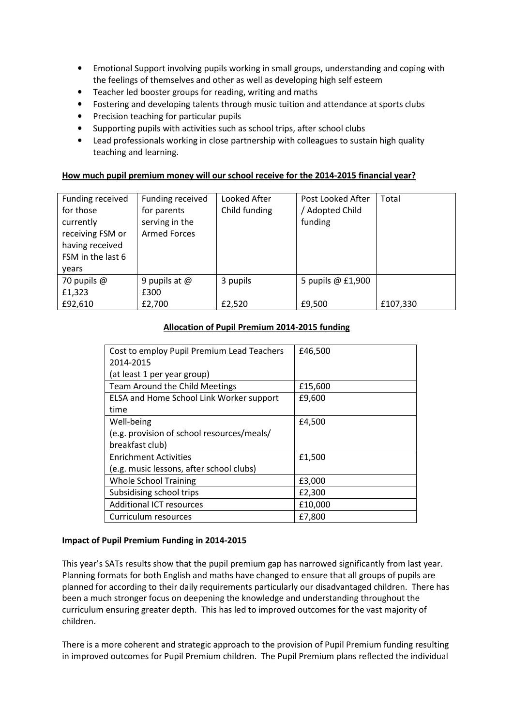- Emotional Support involving pupils working in small groups, understanding and coping with the feelings of themselves and other as well as developing high self esteem
- Teacher led booster groups for reading, writing and maths
- Fostering and developing talents through music tuition and attendance at sports clubs
- Precision teaching for particular pupils
- Supporting pupils with activities such as school trips, after school clubs
- Lead professionals working in close partnership with colleagues to sustain high quality teaching and learning.

# How much pupil premium money will our school receive for the 2014-2015 financial year?

| Funding received<br>for those<br>currently<br>receiving FSM or<br>having received<br>FSM in the last 6<br>vears | Funding received<br>for parents<br>serving in the<br><b>Armed Forces</b> | Looked After<br>Child funding | Post Looked After<br>/ Adopted Child<br>funding | Total    |
|-----------------------------------------------------------------------------------------------------------------|--------------------------------------------------------------------------|-------------------------------|-------------------------------------------------|----------|
| 70 pupils $@$                                                                                                   | 9 pupils at $@$                                                          | 3 pupils                      | 5 pupils @ £1,900                               |          |
| £1,323                                                                                                          | £300                                                                     |                               |                                                 |          |
| £92,610                                                                                                         | £2,700                                                                   | £2,520                        | £9,500                                          | £107,330 |

#### Allocation of Pupil Premium 2014-2015 funding

| Cost to employ Pupil Premium Lead Teachers | £46,500 |
|--------------------------------------------|---------|
| 2014-2015                                  |         |
| (at least 1 per year group)                |         |
| Team Around the Child Meetings             | £15,600 |
| ELSA and Home School Link Worker support   | £9,600  |
| time                                       |         |
| Well-being                                 | £4,500  |
| (e.g. provision of school resources/meals/ |         |
| breakfast club)                            |         |
| <b>Enrichment Activities</b>               | £1,500  |
| (e.g. music lessons, after school clubs)   |         |
| <b>Whole School Training</b>               | £3,000  |
| Subsidising school trips                   | £2,300  |
| <b>Additional ICT resources</b>            | £10,000 |
| Curriculum resources                       | £7,800  |

#### Impact of Pupil Premium Funding in 2014-2015

This year's SATs results show that the pupil premium gap has narrowed significantly from last year. Planning formats for both English and maths have changed to ensure that all groups of pupils are planned for according to their daily requirements particularly our disadvantaged children. There has been a much stronger focus on deepening the knowledge and understanding throughout the curriculum ensuring greater depth. This has led to improved outcomes for the vast majority of children.

There is a more coherent and strategic approach to the provision of Pupil Premium funding resulting in improved outcomes for Pupil Premium children. The Pupil Premium plans reflected the individual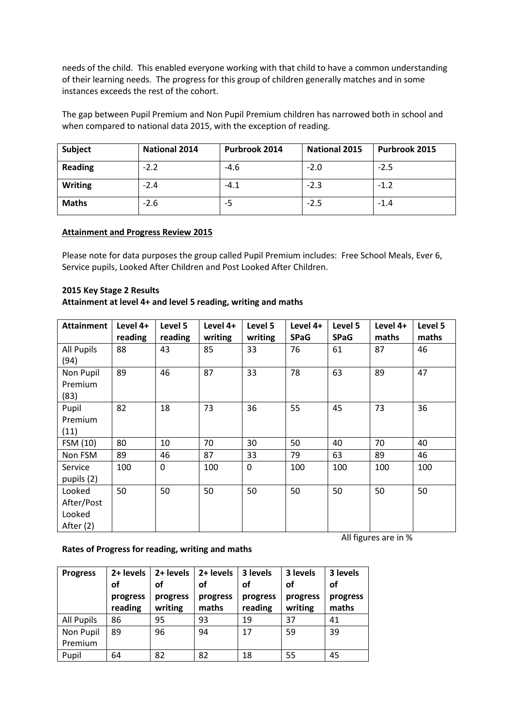needs of the child. This enabled everyone working with that child to have a common understanding of their learning needs. The progress for this group of children generally matches and in some instances exceeds the rest of the cohort.

The gap between Pupil Premium and Non Pupil Premium children has narrowed both in school and when compared to national data 2015, with the exception of reading.

| Subject        | <b>National 2014</b> | Purbrook 2014 | <b>National 2015</b> | Purbrook 2015 |
|----------------|----------------------|---------------|----------------------|---------------|
| <b>Reading</b> | $-2.2$               | $-4.6$        | $-2.0$               | $-2.5$        |
| <b>Writing</b> | $-2.4$               | $-4.1$        | $-2.3$               | $-1.2$        |
| <b>Maths</b>   | $-2.6$               | -5            | $-2.5$               | $-1.4$        |

# Attainment and Progress Review 2015

Please note for data purposes the group called Pupil Premium includes: Free School Meals, Ever 6, Service pupils, Looked After Children and Post Looked After Children.

# 2015 Key Stage 2 Results

Attainment at level 4+ and level 5 reading, writing and maths

| <b>Attainment</b> | Level 4+ | Level 5      | Level 4+ | Level 5     | Level 4+    | Level 5     | Level 4+ | Level 5 |
|-------------------|----------|--------------|----------|-------------|-------------|-------------|----------|---------|
|                   | reading  | reading      | writing  | writing     | <b>SPaG</b> | <b>SPaG</b> | maths    | maths   |
| <b>All Pupils</b> | 88       | 43           | 85       | 33          | 76          | 61          | 87       | 46      |
| (94)              |          |              |          |             |             |             |          |         |
| Non Pupil         | 89       | 46           | 87       | 33          | 78          | 63          | 89       | 47      |
| Premium           |          |              |          |             |             |             |          |         |
| (83)              |          |              |          |             |             |             |          |         |
| Pupil             | 82       | 18           | 73       | 36          | 55          | 45          | 73       | 36      |
| Premium           |          |              |          |             |             |             |          |         |
| (11)              |          |              |          |             |             |             |          |         |
| FSM (10)          | 80       | 10           | 70       | 30          | 50          | 40          | 70       | 40      |
| Non FSM           | 89       | 46           | 87       | 33          | 79          | 63          | 89       | 46      |
| Service           | 100      | $\mathbf{0}$ | 100      | $\mathbf 0$ | 100         | 100         | 100      | 100     |
| pupils (2)        |          |              |          |             |             |             |          |         |
| Looked            | 50       | 50           | 50       | 50          | 50          | 50          | 50       | 50      |
| After/Post        |          |              |          |             |             |             |          |         |
| Looked            |          |              |          |             |             |             |          |         |
| After (2)         |          |              |          |             |             |             |          |         |

# Rates of Progress for reading, writing and maths

| <b>Progress</b>      | 2+ levels<br>οf<br>progress<br>reading | 2+ levels<br>οf<br>progress<br>writing | 2+ levels<br>οf<br>progress<br>maths | 3 levels<br>οf<br>progress<br>reading | 3 levels<br><b>of</b><br>progress<br>writing | 3 levels<br>οf<br>progress<br>maths |
|----------------------|----------------------------------------|----------------------------------------|--------------------------------------|---------------------------------------|----------------------------------------------|-------------------------------------|
| All Pupils           | 86                                     | 95                                     | 93                                   | 19                                    | 37                                           | 41                                  |
| Non Pupil<br>Premium | 89                                     | 96                                     | 94                                   | 17                                    | 59                                           | 39                                  |
| Pupil                | 64                                     | 82                                     | 82                                   | 18                                    | 55                                           | 45                                  |

All figures are in %